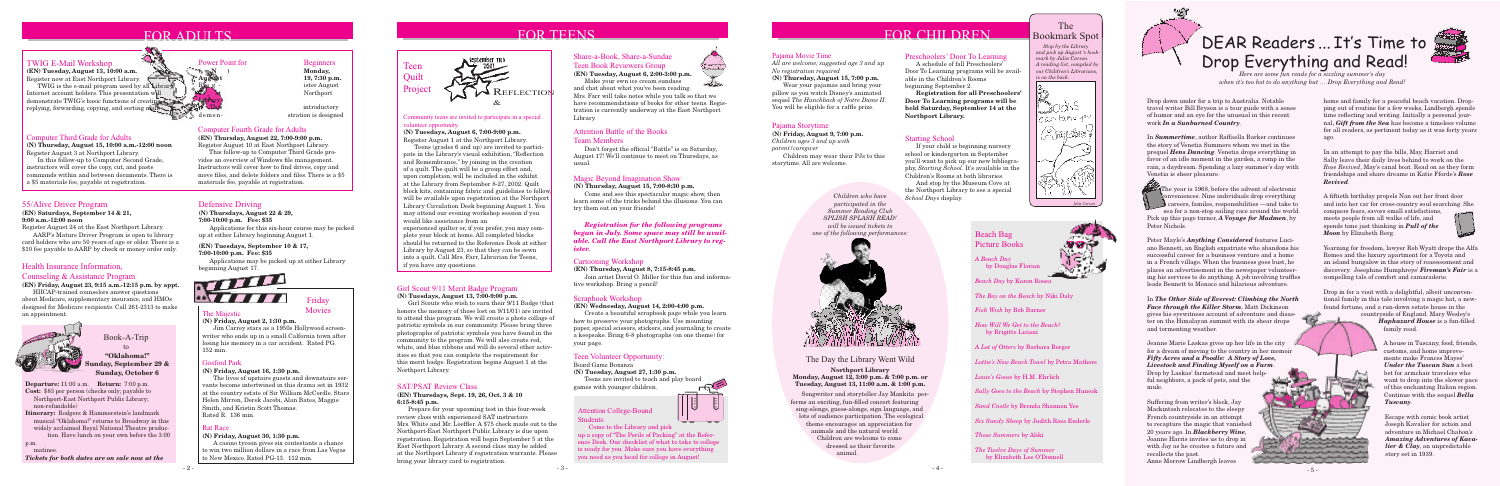### FOR ADULTS

### 55/Alive Driver Program

### **(EN) Saturdays, September 14 & 21, 9:00 a.m.-12:00 noon**

Register August 24 at the East Northport Library.

 AARP's Mature Driver Program is open to library card holders who are 50 years of age or older. There is a \$10 fee payable to AARP by check or money order only.

### Defensive Driving

### **(N) Thursdays, August 22 & 29,**

**7:00-10:00 p.m. Fee: \$35** 

 Applications for this six-hour course may be picked up at either Library beginning August 1.

**(EN) Tuesdays, September 10 & 17, 7:00-10:00 p.m. Fee: \$35**

 Applications may be picked up at either Library beginning August 17.



### FOR TEENS

### Pajama Storytime

**(N) Friday, August 9, 7:00 p.m.** *Children ages 3 and up with parent/caregiver* Children may wear their PJs to this storytime. All are welcome.

### FOR CHILDREN

### The Majestic

**(N) Friday, August 2, 1:30 p.m.**

Jim Carrey stars as a 1950s Hollywood screenwriter who ends up in a small Calfornia town after losing his memory in a car accident. Rated PG. 152 min.



**Movies** 

### Rat Race

### **(N) Friday, August 30, 1:30 p.m.**

A casino tycoon gives six contestants a chance to win two million dollars in a race from Las Vegas to New Mexico. Rated PG-13. 112 min.

# september mtb

### Computer Fourth Grade for Adults

**(EN) Thursday, August 22, 7:00-9:00 p.m.** Register August 10 at East Northport Library.

This follow-up to Computer Third Grade provides an overview of Windows file management. Instructors will cover how to find drives, copy and move files, and delete folders and files. There is a \$5 materials fee, payable at registration.



Power Point for Beginners<br>  $A = N$  Monday, 19, 7:30 p.m.

ister August Northport

introductory demon- stration is designed

 *Stop by the Library and pick up August 's bookmark by Julia Carson. A reading list, compiled by our Children's Librarians, is on the back.*



### The Bookmark Spot

### Preschoolers' Door To Learning

 A schedule of fall Preschoolers' Door To Learning programs will be available in the Children's Rooms beginning September 2.

**REFLECTION** &

 **Registration for all Preschoolers' Door To Learning programs will be held Saturday, September 14 at the Northport Library.**

The Day the Library Went Wild

 Songwriter and storyteller Jay Mankita performs an exciting, fun-filled concert featuring sing-alongs, guess-alongs, sign language, and lots of audience participation. The ecological theme encourages an appreciation for animals and the natural world. Children are welcome to come dressed as their favorite animal.

**Northport Library Monday, August 12, 3:00 p.m. & 7:00 p.m. or Tuesday, August 13, 11:00 a.m. & 1:00 p.m.**

*Children who have participated in the Summer Reading Club SPLISH SPLASH READ! will be issued tickets to one of the following performances:*



### Gosford Park

**(N) Friday, August 16, 1:30 p.m.**

The lives of upstairs guests and downstairs servants become intertwined in this drama set in 1932 at the country estate of Sir William McCordle. Stars Helen Mirren, Derek Jacobi, Alan Bates, Maggie Smith, and Kristin Scott Thomas. Rated R. 136 min.

### Community teens are invited to participate in a special volunteer opportunity.

### **(N) Tuesdays, August 6, 7:00-9:00 p.m.**

Register August 1 at the Northport Library.

The year is 1968, before the advent of electronic conveniences. Nine individuals drop everything – careers, familes, responsibilities —and take to sea for a non-stop sailing race around the world. Pick up this page turner, *A Voyage for Madmen*, by Peter Nichols.

 Teens (grades 6 and up) are invited to participate in the Library's visual exhibition, "Reflection and Remembrance," by joining in the creation of a quilt. The quilt will be a group effort and, upon completion, will be included in the exhibit at the Library from September 8-27, 2002. Quilt block kits, containing fabric and guidelines to follow, will be available upon registration at the Northport Library Circulation Desk beginning August 1. You may attend our evening workshop session if you would like assistance from an experienced quilter or, if you prefer, you may complete your block at home. All completed blocks should be returned to the Reference Desk at either Library by August 23, so that they can be sewn into a quilt. Call Mrs. Farr, Librarian for Teens, if you have any questions.

### Share-a-Book, Share-a-Sundae

Teen Book Reviewers Group **(EN) Tuesday, August 6, 2:00-3:00 p.m.**

Make your own ice cream sundaes

and chat about what you've been reading. Mrs. Farr will take notes while you talk so that we have recommendations of books for other teens. Registration is currently underway at the East Northport Library.

### *Registration for the following programs began in July. Some space may still be available. Call the East Northport Library to register.*

### Cartooning Workshop

**(EN) Thursday, August 8, 7:15-8:45 p.m.** Join artist David O. Miller for this fun and informa-

tive workshop. Bring a pencil!

### Scrapbook Workshop

### **(EN) Wednesday, August 14, 2:00-4:00 p.m.**

 Create a beautiful scrapbook page while you learn how to preserve your photographs. Use mounting paper, special scissors, stickers, and journaling to create a keepsake. Bring 6-8 photographs (on one theme) for your page.

### Teen Volunteer Opportunity:

Board Game Bonanza

### **(N) Tuesday, August 27, 1:30 p.m.**

 Teens are invited to teach and play board games with younger children.

### Magic Beyond Imagination Show

**(N) Thursday, August 15, 7:00-8:30 p.m.**

 Come and see this spectacular magic show, then learn some of the tricks behind the illusions. You can try them out on your friends!

### Attention Battle of the Books

### Team Members

 Don't forget the official "Battle" is on Saturday, August 17! We'll continue to meet on Thursdays, as usual.

### Pajama Movie Time

*All are welcome; suggested age 3 and up No registration required*

matine *Tickets for both dates are on sale now at the*  **(N) Thursday, August 15, 7:00 p.m.** Wear your pajamas and bring your pillow as you watch Disney's animated sequel *The Hunchback of Notre Dame II*. You will be eligible for a raffle prize.

### SAT/PSAT Review Class

### **(EN) Thursdays, Sept. 19, 26, Oct. 3 & 10 6:15-8:45 p.m.**

 Prepare for your upcoming test in this four-week review class with experienced SAT instructors Mrs. White and Mr. Loeffler. A \$75 check made out to the Northport-East Northport Public Library is due upon registration. Registration will begin September 5 at the East Northport Library. A second class may be added at the Northport Library if registration warrants. Please bring your library card to registration.

Teen **Quilt** 

# DEAR Readers ... It's Time to Drop Everything and Read!



Drop down under for a trip to Australia. Notable travel writer Bill Bryson is a tour guide with a sense of humor and an eye for the unusual in this recent work *In a Sunburned Country*.

In *Summertime*, author Raffaella Barker continues the story of Venetia Summers whom we met in the prequel *Hens Dancing*. Venetia drops everything in favor of an idle moment in the garden, a romp in the rain, a daydream. Spending a lazy summer's day with Venetia is sheer pleasure.

Peter Mayle's *Anything Considered* features Luciano Bennett, an English expatriate who abandons his successful career for a business venture and a home in a French village. When the business goes bust, he places an advertisement in the newspaper volunteering his services to do anything. A job involving truffles leads Bennett to Monaco and hilarious adventure.

In *The Other Side of Everest: Climbing the North Face through the Killer Storm*, Matt Dickinson gives his eyewitness account of adventure and disaster on the Himalayan summit with its shear drops and tormenting weather.

Jeanne Marie Laskas gives up her life in the city for a dream of moving to the country in her memoir *Fifty Acres and a Poodle: A Story of Love, Livestock and Finding Myself on a Farm*.

Drop by Laskas' farmstead and meet helpful neighbors, a pack of pets, and the mule.

Suffering from writer's block, Jay Mackintosh relocates to the sleepy French countryside in an attempt to recapture the magic that vanished 20 years ago. In *Blackberry Wine*, Joanne Harris invites us to drop in with Jay as he creates a future and recollects the past. Anne Morrow Lindbergh leaves

home and family for a peaceful beach vacation. Dropping out of routine for a few weeks, Lindbergh spends time reflecting and writing. Initially a personal journal, *Gift from the Sea* has become a timeless volume for all readers, as pertinent today as it was forty years ago.

In an attempt to pay the bills, May, Harriet and Sally leave their daily lives behind to work on the *Rose Revived*, May's canal boat. Read on as they form friendships and share dreams in Katie Fforde's *Rose Revived*.

A fiftieth birthday propels Nan out her front door and into her car for cross-country soul searching. She

conquers fears, savors small satisfactions, meets people from all walks of life, and spends time just thinking in *Pull of the Moon* by Elizabeth Berg.



Yearning for freedom, lawyer Rob Wyatt drops the Alfa Romeo and the luxury apartment for a Toyota and an island bungalow in this story of reassessment and discovery. Josephine Humphreys' *Fireman's Fair* is a compelling tale of comfort and camaraderie.

Drop in for a visit with a delightful, albeit unconventional family in this tale involving a magic hat, a newfound fortune, and a run-down estate house in the

countryside of England. Mary Wesley's *Haphazard House* is a fun-filled family read.

> A house in Tuscany, food, friends, customs, and home improvements make Frances Mayes' *Under the Tuscan Sun* a best bet for armchair travelers who want to drop into the slower pace of this enchanting Italian region. Continue with the sequel *Bella Tuscany*.

Escape with comic book artist Joseph Kavalier for action and adventure in Michael Chabon's *Amazing Adventures of Kavalier & Clay*, an unpredictable story set in 1939.

Junior and and so the property of the contract of

*Here are some fun reads for a sizzling summer's day when it's too hot to do anything but … Drop Everything and Read!*

### Girl Scout 9/11 Merit Badge Program

### **(N) Tuesdays, August 13, 7:00-9:00 p.m.**

 Girl Scouts who wish to earn their 9/11 Badge (that honors the memory of those lost on 9/11/01) are invited to attend this program. We will create a photo collage of patriotic symbols in our community. Please bring three photographs of patriotic symbols you have found in the community to the program. We will also create red, white, and blue ribbons and will do several other activities so that you can complete the requirement for this merit badge. Registration begins August 1 at the Northport Library.

# Attention College-Bound

Students:

 Come to the Library and pick up a copy of "The Perils of Packing" at the Reference Desk. Our checklist of what to take to college is ready for you. Make sure you have everything you need as you head for college in August!

Book-A-Trip to

**Departure:** 11:00 a.m. **Return:** 7:00 p.m. **Cost:** \$83 per person (checks only; payable to Northport-East Northport Public Library; non-refundable)

**Itinerary:** Rodgers & Hammerstein's landmark musical "Oklahoma!" returns to Broadway in this widely acclaimed Royal National Theatre produc tion. Have lunch on your own before the 3:00

p.m.

**"Oklahoma!" Sunday, September 29 & Sunday, October 6**

### TWIG E-Mail Workshop

**(EN) Tuesday, August 13, 10:00 a.m.** Register now at East Northport Library.

**TWIG** is the e-mail program used by all Library Internet account holders. This presentation will demonstrate TWIG's basic functions of creating, replying, forwarding, copying, and sorting mail.

### Computer Third Grade for Adults

**(N) Thursday, August 15, 10:00 a.m.-12:00 noon** Register August 3 at Northport Library.

In this follow-up to Computer Second Grade, instructors will cover the copy, cut, and paste commands within and between documents. There is a \$5 materials fee, payable at registration.

### Health Insurance Information,

### Counseling & Assistance Program

**(EN) Friday, August 23, 9:15 a.m.-12:15 p.m. by appt.**

HIICAP-trained counselors answer questions about Medicare, supplementary insurance, and HMOs designed for Medicare recipients. Call 261-2313 to make an appointment.



Project

*A Beach Day* by Douglas Florian



*Beach Day* by Karen Roosa

*The Boy on the Beach* by Niki Daly

*Fish Wish* by Bob Barner

*How Will We Get to the Beach?*  by Brigitte Liciani

*A Lot of Otters* by Barbara Berger

*Lottie's New Beach Towel* by Petra Mathers

*Louie's Goose* by H.M. Ehrlich

*Sally Goes to the Beach* by Stephen Huneck

*Sand Castle* by Brenda Shannon Yee

*Six Sandy Sheep* by Judith Ross Enderle

*Those Summers* by Aliki

*The Twelve Days of Summer*  by Elizabeth Lee O'Donnell

 $-3 - 2 - 1$ 





### Beach Bag Picture Books

### Starting School

 If your child is beginning nursery school or kindergarten in September you'll want to pick up our new bibliography, *Starting School*. It's available in the Children's Rooms at both libraries.

 And stop by the Museum Cove at the Northport Library to see a special *School Days* display.